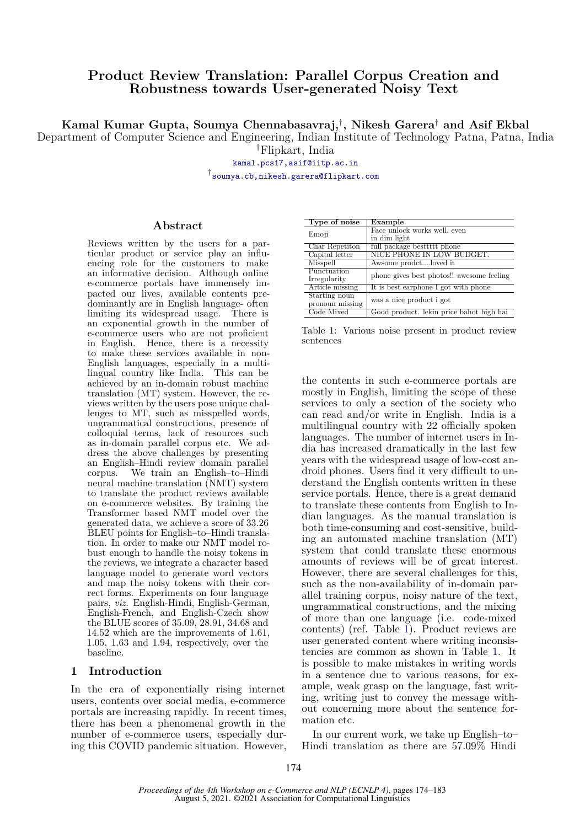# **Product Review Translation: Parallel Corpus Creation and Robustness towards User-generated Noisy Text**

**Kamal Kumar Gupta, Soumya Chennabasavraj,***†* **, Nikesh Garera***†* **and Asif Ekbal**

Department of Computer Science and Engineering, Indian Institute of Technology Patna, Patna, India

*†*Flipkart, India

[kamal.pcs17,asif@iitp.ac.in](kamal.pcs17, asif@iitp.ac.in)

*†* [soumya.cb,nikesh.garera@flipkart.com](soumya.cb, nikesh.garera@flipkart.com)

# **Abstract**

Reviews written by the users for a particular product or service play an influencing role for the customers to make an informative decision. Although online e-commerce portals have immensely impacted our lives, available contents predominantly are in English language- often limiting its widespread usage. There is an exponential growth in the number of e-commerce users who are not proficient in English. Hence, there is a necessity to make these services available in non-English languages, especially in a multilingual country like India. This can be achieved by an in-domain robust machine translation (MT) system. However, the reviews written by the users pose unique challenges to MT, such as misspelled words, ungrammatical constructions, presence of colloquial terms, lack of resources such as in-domain parallel corpus etc. We address the above challenges by presenting an English–Hindi review domain parallel corpus. We train an English–to–Hindi neural machine translation (NMT) system to translate the product reviews available on e-commerce websites. By training the Transformer based NMT model over the generated data, we achieve a score of 33.26 BLEU points for English–to–Hindi translation. In order to make our NMT model robust enough to handle the noisy tokens in the reviews, we integrate a character based language model to generate word vectors and map the noisy tokens with their correct forms. Experiments on four language pairs, *viz.* English-Hindi, English-German, English-French, and English-Czech show the BLUE scores of 35.09, 28.91, 34.68 and 14.52 which are the improvements of 1.61, 1.05, 1.63 and 1.94, respectively, over the baseline.

# **1 Introduction**

In the era of exponentially rising internet users, contents over social media, e-commerce portals are increasing rapidly. In recent times, there has been a phenomenal growth in the number of e-commerce users, especially during this COVID pandemic situation. However,

<span id="page-0-0"></span>

| Type of noise   | $\overline{\text{Example}}$               |  |
|-----------------|-------------------------------------------|--|
| Emoji           | Face unlock works well, even              |  |
|                 | in dim light                              |  |
| Char Repetiton  | full package besttttt phone               |  |
| Capital letter  | NICE PHONE IN LOW BUDGET.                 |  |
| Misspell        | Awsome prodctloved it                     |  |
| Punctuation     | phone gives best photos!! awesome feeling |  |
| Irregularity    |                                           |  |
| Article missing | It is best earphone I got with phone      |  |
| Starting noun   | was a nice product i got                  |  |
| pronoun missing |                                           |  |
| Code Mixed      | Good product. lekin price bahot high hai  |  |

Table 1: Various noise present in product review sentences

the contents in such e-commerce portals are mostly in English, limiting the scope of these services to only a section of the society who can read and/or write in English. India is a multilingual country with 22 officially spoken languages. The number of internet users in India has increased dramatically in the last few years with the widespread usage of low-cost android phones. Users find it very difficult to understand the English contents written in these service portals. Hence, there is a great demand to translate these contents from English to Indian languages. As the manual translation is both time-consuming and cost-sensitive, building an automated machine translation (MT) system that could translate these enormous amounts of reviews will be of great interest. However, there are several challenges for this, such as the non-availability of in-domain parallel training corpus, noisy nature of the text, ungrammatical constructions, and the mixing of more than one language (i.e. code-mixed contents) (ref. Table [1](#page-0-0)). Product reviews are user generated content where writing inconsistencies are common as shown in Table [1.](#page-0-0) It is possible to make mistakes in writing words in a sentence due to various reasons, for example, weak grasp on the language, fast writing, writing just to convey the message without concerning more about the sentence formation etc.

In our current work, we take up English–to– Hindi translation as there are 57.09% Hindi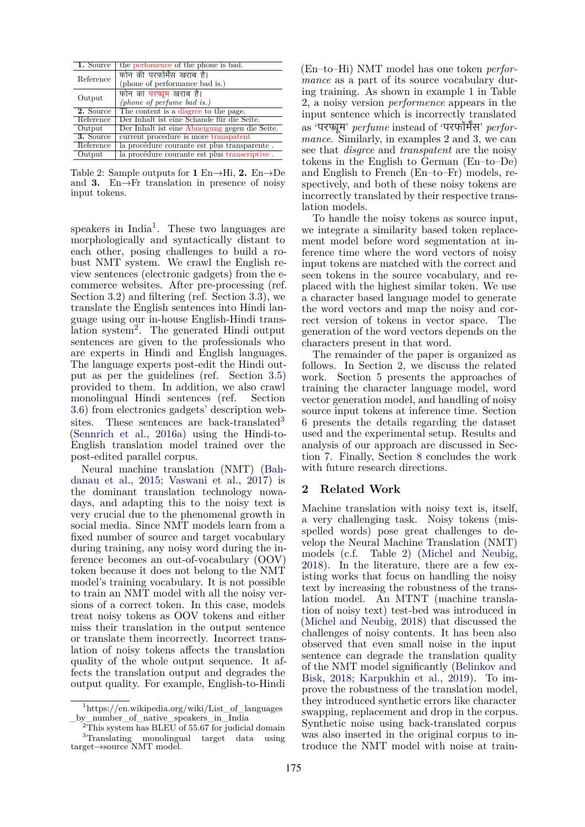<span id="page-1-3"></span>

| 1. Source | the perfomence of the phone is bad.            |
|-----------|------------------------------------------------|
| Reference | फोन की परफॉर्मेंस खराब है।                     |
|           | (phone of performance bad is.)                 |
|           | फोन का परप्घम खराब है।                         |
| Output    | (phone of perfume bad is.)                     |
| 2. Source | The content is a disgree to the page.          |
| Reference | Der Inhalt ist eine Schande für die Seite.     |
| Output    | Der Inhalt ist eine Abneigung gegen die Seite. |
| 3. Source | current procedure is more transpatent          |
| Reference | la procédure courante est plus transparente.   |
| Output    | la procédure courante est plus transcriptive.  |

Table 2: Sample outputs for **1** En*→*Hi, **2.** En*→*De and **3.** En*→*Fr translation in presence of noisy input tokens.

speakers in  $India<sup>1</sup>$  $India<sup>1</sup>$  $India<sup>1</sup>$ . These two languages are morphologically and syntactically distant to each other, posing challenges to build a robust NMT system. We crawl the English review sentences (electronic gadgets) from the ecommerce websites. After pre-processing (ref. Section [3.2\)](#page-2-0) and filtering (ref. Section [3.3](#page-2-1)), we translate the English sentences into Hindi language using our in-house English-Hindi trans-lation system<sup>[2](#page-1-1)</sup>. The generated Hindi output sentences are given to the professionals who are experts in Hindi and English languages. The language experts post-edit the Hindi output as per the guidelines (ref. Section [3.5](#page-3-0)) provided to them. In addition, we also crawl monolingual Hindi sentences (ref. Section [3.6\)](#page-3-1) from electronics gadgets' description web-sites. These sentences are back-translated<sup>[3](#page-1-2)</sup> ([Sennrich et al.](#page-8-0), [2016a\)](#page-8-0) using the Hindi-to-English translation model trained over the post-edited parallel corpus.

Neural machine translation (NMT) [\(Bah](#page-8-1)[danau et al.,](#page-8-1) [2015](#page-8-1); [Vaswani et al.,](#page-8-2) [2017](#page-8-2)) is the dominant translation technology nowadays, and adapting this to the noisy text is very crucial due to the phenomenal growth in social media. Since NMT models learn from a fixed number of source and target vocabulary during training, any noisy word during the inference becomes an out-of-vocabulary (OOV) token because it does not belong to the NMT model's training vocabulary. It is not possible to train an NMT model with all the noisy versions of a correct token. In this case, models treat noisy tokens as OOV tokens and either miss their translation in the output sentence or translate them incorrectly. Incorrect translation of noisy tokens affects the translation quality of the whole output sequence. It affects the translation output and degrades the output quality. For example, English-to-Hindi

(En–to–Hi) NMT model has one token *performance* as a part of its source vocabulary during training. As shown in example 1 in Table [2,](#page-1-3) a noisy version *performence* appears in the input sentence which is incorrectly translated as 'परզमू ' *perfume* instead of 'परफॉमӜस' *performance*. Similarly, in examples 2 and 3, we can see that *disgrce* and *transpatent* are the noisy tokens in the English to German (En–to–De) and English to French (En–to–Fr) models, respectively, and both of these noisy tokens are incorrectly translated by their respective translation models.

To handle the noisy tokens as source input, we integrate a similarity based token replacement model before word segmentation at inference time where the word vectors of noisy input tokens are matched with the correct and seen tokens in the source vocabulary, and replaced with the highest similar token. We use a character based language model to generate the word vectors and map the noisy and correct version of tokens in vector space. The generation of the word vectors depends on the characters present in that word.

The remainder of the paper is organized as follows. In Section [2](#page-1-4), we discuss the related work. Section [5](#page-4-0) presents the approaches of training the character language model, word vector generation model, and handling of noisy source input tokens at inference time. Section [6](#page-5-0) presents the details regarding the dataset used and the experimental setup. Results and analysis of our approach are discussed in Section [7.](#page-6-0) Finally, Section [8](#page-7-0) concludes the work with future research directions.

# <span id="page-1-4"></span>**2 Related Work**

Machine translation with noisy text is, itself, a very challenging task. Noisy tokens (misspelled words) pose great challenges to develop the Neural Machine Translation (NMT) models (c.f. Table [2\)](#page-1-3) [\(Michel and Neubig](#page-8-3), [2018](#page-8-3)). In the literature, there are a few existing works that focus on handling the noisy text by increasing the robustness of the translation model. An MTNT (machine translation of noisy text) test-bed was introduced in [\(Michel and Neubig](#page-8-3), [2018](#page-8-3)) that discussed the challenges of noisy contents. It has been also observed that even small noise in the input sentence can degrade the translation quality of the NMT model significantly ([Belinkov and](#page-8-4) [Bisk](#page-8-4), [2018;](#page-8-4) [Karpukhin et al.,](#page-8-5) [2019\)](#page-8-5). To improve the robustness of the translation model, they introduced synthetic errors like character swapping, replacement and drop in the corpus. Synthetic noise using back-translated corpus was also inserted in the original corpus to introduce the NMT model with noise at train-

<span id="page-1-0"></span> $1$ https://en.wikipedia.org/wiki/List of languages \_by\_number\_of\_native\_speakers\_in\_India

<span id="page-1-2"></span><span id="page-1-1"></span> $2$ This system has BLEU of 55.67 for judicial domain <sup>3</sup>Translating monolingual target data using target*→*source NMT model.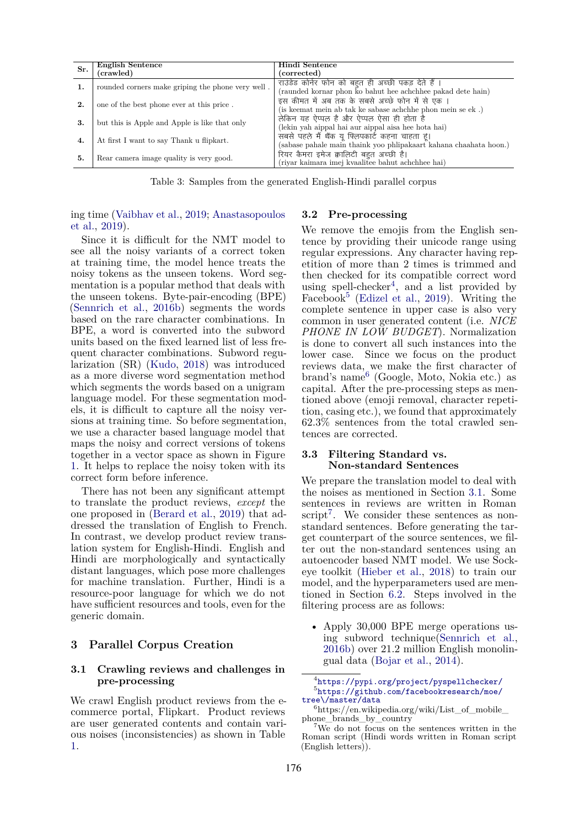<span id="page-2-7"></span>

|     | <b>English Sentence</b>                           | Hindi Sentence                                                    |
|-----|---------------------------------------------------|-------------------------------------------------------------------|
| Sr. | (crawled)                                         | (corrected)                                                       |
| 1.  | rounded corners make griping the phone very well. | राउंडेड कोर्नर फोन को बहुत ही अच्छी पकड़ देते हैं ।               |
|     |                                                   | (raunded kornar phon ko bahut hee achchhee pakad dete hain)       |
|     | one of the best phone ever at this price.         | इस कीमत में अब तक के सबसे अच्छे फोन में से एक ।                   |
|     |                                                   | (is keemat mein ab tak ke sabase achchhe phon mein se ek.)        |
| 3.  | but this is Apple and Apple is like that only     | लेकिन यह ऐप्पल है और ऐप्पल ऐसा ही होता है                         |
|     |                                                   | (lekin yah aippal hai aur aippal aisa hee hota hai)               |
|     | At first I want to say Thank u flipkart.          | सबसे पहले मैं थैंक यू फ्लिपकार्ट कहना चाहता हूं।                  |
| 4.  |                                                   | (sabase pahale main thaink yoo phlipakaart kahana chaahata hoon.) |
| 5.  | Rear camera image quality is very good.           | रियर कैमरा इमेज क्वालिटी बहूत अच्छी है।                           |
|     |                                                   | (riyar kaimara imej kvaalitee bahut achchhee hai)                 |

Table 3: Samples from the generated English-Hindi parallel corpus

ing time ([Vaibhav et al.,](#page-8-6) [2019](#page-8-6); [Anastasopoulos](#page-7-1) [et al.](#page-7-1), [2019\)](#page-7-1).

Since it is difficult for the NMT model to see all the noisy variants of a correct token at training time, the model hence treats the noisy tokens as the unseen tokens. Word segmentation is a popular method that deals with the unseen tokens. Byte-pair-encoding (BPE) ([Sennrich et al.,](#page-8-7) [2016b\)](#page-8-7) segments the words based on the rare character combinations. In BPE, a word is converted into the subword units based on the fixed learned list of less frequent character combinations. Subword regularization (SR) ([Kudo](#page-8-8), [2018\)](#page-8-8) was introduced as a more diverse word segmentation method which segments the words based on a unigram language model. For these segmentation models, it is difficult to capture all the noisy versions at training time. So before segmentation, we use a character based language model that maps the noisy and correct versions of tokens together in a vector space as shown in Figure [1](#page-4-1). It helps to replace the noisy token with its correct form before inference.

There has not been any significant attempt to translate the product reviews, *except* the one proposed in ([Berard et al.,](#page-8-9) [2019](#page-8-9)) that addressed the translation of English to French. In contrast, we develop product review translation system for English-Hindi. English and Hindi are morphologically and syntactically distant languages, which pose more challenges for machine translation. Further, Hindi is a resource-poor language for which we do not have sufficient resources and tools, even for the generic domain.

# **3 Parallel Corpus Creation**

# <span id="page-2-5"></span>**3.1 Crawling reviews and challenges in pre-processing**

We crawl English product reviews from the ecommerce portal, Flipkart. Product reviews are user generated contents and contain various noises (inconsistencies) as shown in Table [1](#page-0-0).

# <span id="page-2-0"></span>**3.2 Pre-processing**

We remove the emojis from the English sentence by providing their unicode range using regular expressions. Any character having repetition of more than 2 times is trimmed and then checked for its compatible correct word using spell-checker<sup>[4](#page-2-2)</sup>, and a list provided by Facebook<sup>[5](#page-2-3)</sup> ([Edizel et al.,](#page-8-10) [2019](#page-8-10)). Writing the complete sentence in upper case is also very common in user generated content (i.e. *NICE PHONE IN LOW BUDGET*). Normalization is done to convert all such instances into the lower case. Since we focus on the product reviews data, we make the first character of brand's name<sup>[6](#page-2-4)</sup> (Google, Moto, Nokia etc.) as capital. After the pre-processing steps as mentioned above (emoji removal, character repetition, casing etc.), we found that approximately 62.3% sentences from the total crawled sentences are corrected.

## <span id="page-2-1"></span>**3.3 Filtering Standard vs. Non-standard Sentences**

We prepare the translation model to deal with the noises as mentioned in Section [3.1](#page-2-5). Some sentences in reviews are written in Roman script<sup>[7](#page-2-6)</sup>. We consider these sentences as nonstandard sentences. Before generating the target counterpart of the source sentences, we filter out the non-standard sentences using an autoencoder based NMT model. We use Sockeye toolkit ([Hieber et al.](#page-8-11), [2018\)](#page-8-11) to train our model, and the hyperparameters used are mentioned in Section [6.2.](#page-6-1) Steps involved in the filtering process are as follows:

• Apply 30,000 BPE merge operations using subword technique([Sennrich et al.](#page-8-7), [2016b\)](#page-8-7) over 21.2 million English monolingual data ([Bojar et al.](#page-8-12), [2014\)](#page-8-12).

<span id="page-2-3"></span><span id="page-2-2"></span><sup>4</sup> <https://pypi.org/project/pyspellchecker/> 5 [https://github.com/facebookresearch/moe/](https://github.com/facebookresearch/moe/tree\/master/data) [tree\/master/data](https://github.com/facebookresearch/moe/tree\/master/data)

<span id="page-2-4"></span> $6$ https://en.wikipedia.org/wiki/List\_of\_mobile\_ phone brands by country

<span id="page-2-6"></span><sup>7</sup>We do not focus on the sentences written in the Roman script (Hindi words written in Roman script (English letters)).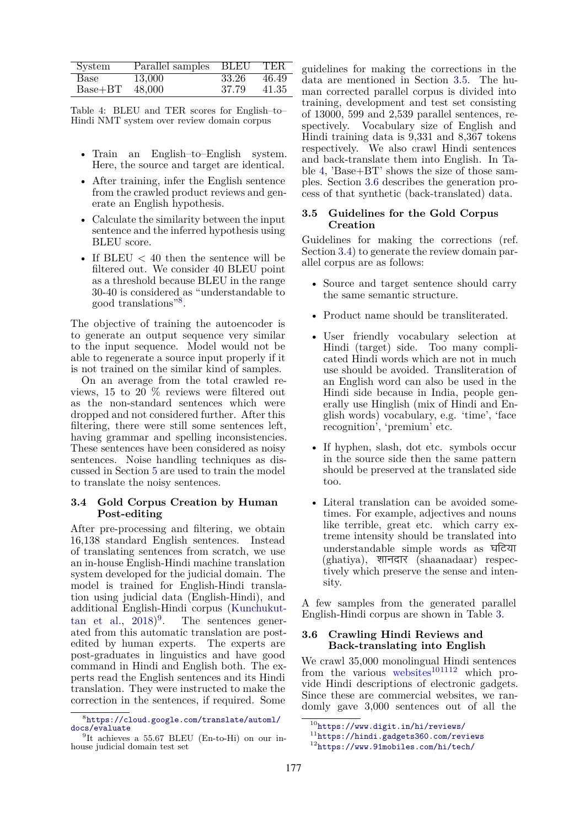<span id="page-3-4"></span>

| System    | Parallel samples BLEU |       | $\rm{TER}$ |
|-----------|-----------------------|-------|------------|
| Base      | 13,000                | 33.26 | 46.49      |
| $Base+BT$ | 48,000                | 37.79 | 41.35      |

Table 4: BLEU and TER scores for English–to– Hindi NMT system over review domain corpus

- Train an English–to–English system. Here, the source and target are identical.
- After training, infer the English sentence from the crawled product reviews and generate an English hypothesis.
- Calculate the similarity between the input sentence and the inferred hypothesis using BLEU score.
- If BLEU  $<$  40 then the sentence will be filtered out. We consider 40 BLEU point as a threshold because BLEU in the range 30-40 is considered as "understandable to good translations"[8](#page-3-2) .

The objective of training the autoencoder is to generate an output sequence very similar to the input sequence. Model would not be able to regenerate a source input properly if it is not trained on the similar kind of samples.

On an average from the total crawled reviews, 15 to 20 % reviews were filtered out as the non-standard sentences which were dropped and not considered further. After this filtering, there were still some sentences left, having grammar and spelling inconsistencies. These sentences have been considered as noisy sentences. Noise handling techniques as discussed in Section [5](#page-4-0) are used to train the model to translate the noisy sentences.

# <span id="page-3-5"></span>**3.4 Gold Corpus Creation by Human Post-editing**

After pre-processing and filtering, we obtain 16,138 standard English sentences. Instead of translating sentences from scratch, we use an in-house English-Hindi machine translation system developed for the judicial domain. The model is trained for English-Hindi translation using judicial data (English-Hindi), and additional English-Hindi corpus [\(Kunchukut-](#page-8-13) $\tan$  et al.,  $2018)^9$  $2018)^9$  $2018)^9$ . The sentences generated from this automatic translation are postedited by human experts. The experts are post-graduates in linguistics and have good command in Hindi and English both. The experts read the English sentences and its Hindi translation. They were instructed to make the correction in the sentences, if required. Some

guidelines for making the corrections in the data are mentioned in Section [3.5.](#page-3-0) The human corrected parallel corpus is divided into training, development and test set consisting of 13000, 599 and 2,539 parallel sentences, respectively. Vocabulary size of English and Hindi training data is 9,331 and 8,367 tokens respectively. We also crawl Hindi sentences and back-translate them into English. In Table [4](#page-3-4), 'Base+BT' shows the size of those samples. Section [3.6](#page-3-1) describes the generation process of that synthetic (back-translated) data.

# <span id="page-3-0"></span>**3.5 Guidelines for the Gold Corpus Creation**

Guidelines for making the corrections (ref. Section [3.4](#page-3-5)) to generate the review domain parallel corpus are as follows:

- Source and target sentence should carry the same semantic structure.
- Product name should be transliterated.
- User friendly vocabulary selection at Hindi (target) side. Too many complicated Hindi words which are not in much use should be avoided. Transliteration of an English word can also be used in the Hindi side because in India, people generally use Hinglish (mix of Hindi and English words) vocabulary, e.g. 'time', 'face recognition', 'premium' etc.
- If hyphen, slash, dot etc. symbols occur in the source side then the same pattern should be preserved at the translated side too.
- Literal translation can be avoided sometimes. For example, adjectives and nouns like terrible, great etc. which carry extreme intensity should be translated into understandable simple words as घटिया (ghatiya), शानदार (shaanadaar) respectively which preserve the sense and intensity.

A few samples from the generated parallel English-Hindi corpus are shown in Table [3](#page-2-7).

# <span id="page-3-1"></span>**3.6 Crawling Hindi Reviews and Back-translating into English**

We crawl 35,000 monolingual Hindi sentences from the various websites $^{101112}$  $^{101112}$  $^{101112}$  $^{101112}$  $^{101112}$  which provide Hindi descriptions of electronic gadgets. Since these are commercial websites, we randomly gave 3,000 sentences out of all the

<span id="page-3-2"></span><sup>8</sup> [https://cloud.google.com/translate/automl/](https://cloud.google.com/translate/automl/docs/evaluate) [docs/evaluate](https://cloud.google.com/translate/automl/docs/evaluate)

<span id="page-3-3"></span><sup>&</sup>lt;sup>9</sup>It achieves a 55.67 BLEU (En-to-Hi) on our inhouse judicial domain test set

<span id="page-3-6"></span><sup>10</sup><https://www.digit.in/hi/reviews/>

<span id="page-3-7"></span><sup>11</sup><https://hindi.gadgets360.com/reviews>

<span id="page-3-8"></span><sup>12</sup><https://www.91mobiles.com/hi/tech/>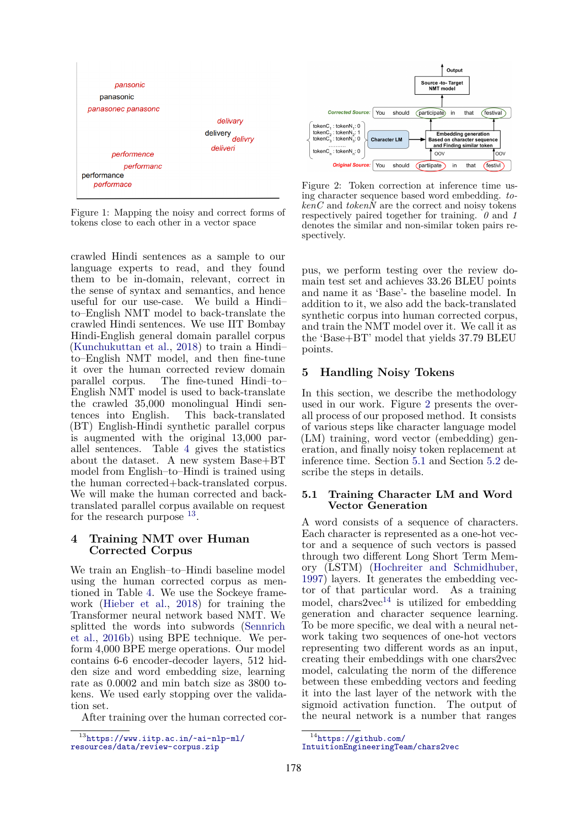<span id="page-4-1"></span>

Figure 1: Mapping the noisy and correct forms of tokens close to each other in a vector space

crawled Hindi sentences as a sample to our language experts to read, and they found them to be in-domain, relevant, correct in the sense of syntax and semantics, and hence useful for our use-case. We build a Hindi– to–English NMT model to back-translate the crawled Hindi sentences. We use IIT Bombay Hindi-English general domain parallel corpus ([Kunchukuttan et al.](#page-8-13), [2018](#page-8-13)) to train a Hindi– to–English NMT model, and then fine-tune it over the human corrected review domain parallel corpus. The fine-tuned Hindi–to– English NMT model is used to back-translate the crawled 35,000 monolingual Hindi sentences into English. This back-translated (BT) English-Hindi synthetic parallel corpus is augmented with the original 13,000 parallel sentences. Table [4](#page-3-4) gives the statistics about the dataset. A new system Base+BT model from English–to–Hindi is trained using the human corrected+back-translated corpus. We will make the human corrected and backtranslated parallel corpus available on request for the research purpose  $^{13}$  $^{13}$  $^{13}$ .

# **4 Training NMT over Human Corrected Corpus**

We train an English–to–Hindi baseline model using the human corrected corpus as mentioned in Table [4](#page-3-4). We use the Sockeye framework [\(Hieber et al.](#page-8-11), [2018](#page-8-11)) for training the Transformer neural network based NMT. We splitted the words into subwords [\(Sennrich](#page-8-7) [et al.](#page-8-7), [2016b](#page-8-7)) using BPE technique. We perform 4,000 BPE merge operations. Our model contains 6-6 encoder-decoder layers, 512 hidden size and word embedding size, learning rate as 0.0002 and min batch size as 3800 tokens. We used early stopping over the validation set.

After training over the human corrected cor-

<span id="page-4-3"></span>

Figure 2: Token correction at inference time using character sequence based word embedding. *to-* $\ker C$  and  $\operatorname{tokenN}$  are the correct and noisy tokens respectively paired together for training. *0* and *1* denotes the similar and non-similar token pairs respectively.

pus, we perform testing over the review domain test set and achieves 33.26 BLEU points and name it as 'Base'- the baseline model. In addition to it, we also add the back-translated synthetic corpus into human corrected corpus, and train the NMT model over it. We call it as the 'Base+BT' model that yields 37.79 BLEU points.

# <span id="page-4-0"></span>**5 Handling Noisy Tokens**

In this section, we describe the methodology used in our work. Figure [2](#page-4-3) presents the overall process of our proposed method. It consists of various steps like character language model (LM) training, word vector (embedding) generation, and finally noisy token replacement at inference time. Section [5.1](#page-4-4) and Section [5.2](#page-5-1) describe the steps in details.

# <span id="page-4-4"></span>**5.1 Training Character LM and Word Vector Generation**

A word consists of a sequence of characters. Each character is represented as a one-hot vector and a sequence of such vectors is passed through two different Long Short Term Memory (LSTM) [\(Hochreiter and Schmidhuber](#page-8-14), [1997](#page-8-14)) layers. It generates the embedding vector of that particular word. As a training model, chars2vec<sup>[14](#page-4-5)</sup> is utilized for embedding generation and character sequence learning. To be more specific, we deal with a neural network taking two sequences of one-hot vectors representing two different words as an input, creating their embeddings with one chars2vec model, calculating the norm of the difference between these embedding vectors and feeding it into the last layer of the network with the sigmoid activation function. The output of the neural network is a number that ranges

<span id="page-4-2"></span> $^{13}$  [https://www.iitp.ac.in/~ai-nlp-ml/](https://www.iitp.ac.in/~ai-nlp-ml/resources/data/review-corpus.zip) [resources/data/review-corpus.zip](https://www.iitp.ac.in/~ai-nlp-ml/resources/data/review-corpus.zip)

<span id="page-4-5"></span><sup>14</sup>[https://github.com/](https://github.com/IntuitionEngineeringTeam/chars2vec)

[IntuitionEngineeringTeam/chars2vec](https://github.com/IntuitionEngineeringTeam/chars2vec)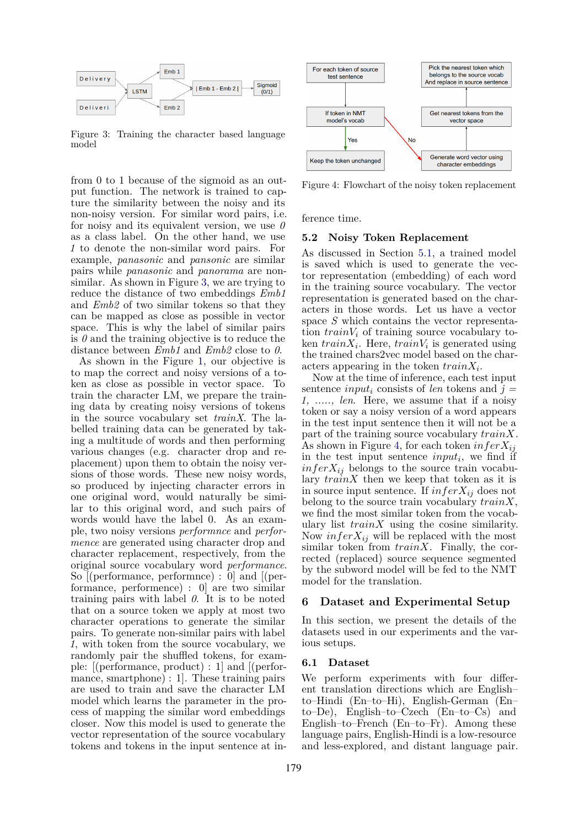<span id="page-5-2"></span>

Figure 3: Training the character based language model

from 0 to 1 because of the sigmoid as an output function. The network is trained to capture the similarity between the noisy and its non-noisy version. For similar word pairs, i.e. for noisy and its equivalent version, we use *0* as a class label. On the other hand, we use *1* to denote the non-similar word pairs. For example, *panasonic* and *pansonic* are similar pairs while *panasonic* and *panorama* are nonsimilar. As shown in Figure [3](#page-5-2), we are trying to reduce the distance of two embeddings *Emb1* and *Emb2* of two similar tokens so that they can be mapped as close as possible in vector space. This is why the label of similar pairs is  $\theta$  and the training objective is to reduce the distance between *Emb1* and *Emb2* close to *0*.

As shown in the Figure [1,](#page-4-1) our objective is to map the correct and noisy versions of a token as close as possible in vector space. To train the character LM, we prepare the training data by creating noisy versions of tokens in the source vocabulary set *trainX*. The labelled training data can be generated by taking a multitude of words and then performing various changes (e.g. character drop and replacement) upon them to obtain the noisy versions of those words. These new noisy words, so produced by injecting character errors in one original word, would naturally be similar to this original word, and such pairs of words would have the label 0. As an example, two noisy versions *performnce* and *performence* are generated using character drop and character replacement, respectively, from the original source vocabulary word *performance*. So [(performance, performnce) : 0] and [(performance, performence) : 0] are two similar training pairs with label *0*. It is to be noted that on a source token we apply at most two character operations to generate the similar pairs. To generate non-similar pairs with label *1*, with token from the source vocabulary, we randomly pair the shuffled tokens, for example: [(performance, product) : 1] and [(performance, smartphone) : 1]. These training pairs are used to train and save the character LM model which learns the parameter in the process of mapping the similar word embeddings closer. Now this model is used to generate the vector representation of the source vocabulary tokens and tokens in the input sentence at in-

<span id="page-5-3"></span>

Figure 4: Flowchart of the noisy token replacement

ference time.

#### <span id="page-5-1"></span>**5.2 Noisy Token Replacement**

As discussed in Section [5.1,](#page-4-4) a trained model is saved which is used to generate the vector representation (embedding) of each word in the training source vocabulary. The vector representation is generated based on the characters in those words. Let us have a vector space *S* which contains the vector representation *trainV<sup>i</sup>* of training source vocabulary token  $trainX_i$ . Here,  $trainV_i$  is generated using the trained chars2vec model based on the characters appearing in the token *trainX<sup>i</sup>* .

Now at the time of inference, each test input sentence *input<sup>i</sup>* consists of *len* tokens and *j = 1, ....., len*. Here, we assume that if a noisy token or say a noisy version of a word appears in the test input sentence then it will not be a part of the training source vocabulary *trainX*. As shown in Figure [4,](#page-5-3) for each token *inferXij* in the test input sentence *input<sup>i</sup>* , we find if  $\inf$ er $X_{ij}$  belongs to the source train vocabulary *trainX* then we keep that token as it is in source input sentence. If  $\inf$ *er* $X_{ij}$  does not belong to the source train vocabulary *trainX*, we find the most similar token from the vocabulary list *trainX* using the cosine similarity. Now  $\inf$ *er* $X_{ij}$  will be replaced with the most similar token from *trainX*. Finally, the corrected (replaced) source sequence segmented by the subword model will be fed to the NMT model for the translation.

# <span id="page-5-0"></span>**6 Dataset and Experimental Setup**

In this section, we present the details of the datasets used in our experiments and the various setups.

# **6.1 Dataset**

We perform experiments with four different translation directions which are English– to–Hindi (En–to–Hi), English-German (En– to–De), English–to–Czech (En–to–Cs) and English–to–French (En–to–Fr). Among these language pairs, English-Hindi is a low-resource and less-explored, and distant language pair.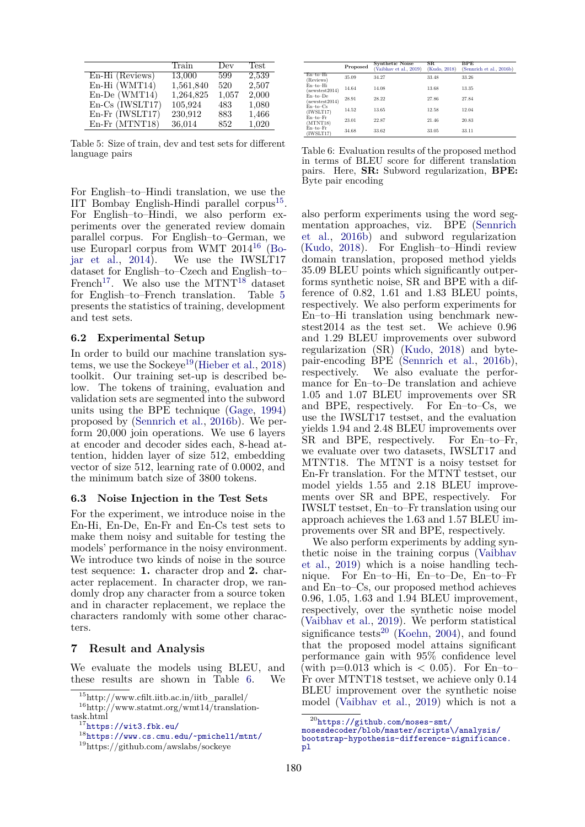<span id="page-6-6"></span>

|                          | Train     | Dev   | Test  |
|--------------------------|-----------|-------|-------|
| En-Hi (Reviews)          | 13,000    | 599   | 2,539 |
| En-Hi (WMT14)            | 1,561,840 | 520   | 2,507 |
| En-De (WMT14)            | 1,264,825 | 1,057 | 2,000 |
| $En\text{-}Cs$ (IWSLT17) | 105,924   | 483   | 1,080 |
| En-Fr (IWSLT17)          | 230,912   | 883   | 1,466 |
| En-Fr (MTNT18)           | 36,014    | 852   | 1,020 |

Table 5: Size of train, dev and test sets for different language pairs

For English–to–Hindi translation, we use the IIT Bombay English-Hindi parallel corpus<sup>[15](#page-6-2)</sup>. For English–to–Hindi, we also perform experiments over the generated review domain parallel corpus. For English–to–German, we use Europarl corpus from WMT  $2014^{16}$  $2014^{16}$  $2014^{16}$  [\(Bo](#page-8-12)[jar et al.,](#page-8-12) [2014](#page-8-12)). We use the IWSLT17 dataset for English–to–Czech and English–to– French<sup>[17](#page-6-4)</sup>. We also use the MTNT<sup>[18](#page-6-5)</sup> dataset for English–to–French translation. Table [5](#page-6-6) presents the statistics of training, development and test sets.

## <span id="page-6-1"></span>**6.2 Experimental Setup**

In order to build our machine translation sys-tems, we use the Sockeye<sup>[19](#page-6-7)</sup> ([Hieber et al.,](#page-8-11) [2018](#page-8-11)) toolkit. Our training set-up is described below. The tokens of training, evaluation and validation sets are segmented into the subword units using the BPE technique [\(Gage](#page-8-15), [1994](#page-8-15)) proposed by [\(Sennrich et al.](#page-8-7), [2016b\)](#page-8-7). We perform 20,000 join operations. We use 6 layers at encoder and decoder sides each, 8-head attention, hidden layer of size 512, embedding vector of size 512, learning rate of 0.0002, and the minimum batch size of 3800 tokens.

#### **6.3 Noise Injection in the Test Sets**

For the experiment, we introduce noise in the En-Hi, En-De, En-Fr and En-Cs test sets to make them noisy and suitable for testing the models' performance in the noisy environment. We introduce two kinds of noise in the source test sequence: **1.** character drop and **2.** character replacement. In character drop, we randomly drop any character from a source token and in character replacement, we replace the characters randomly with some other characters.

# <span id="page-6-0"></span>**7 Result and Analysis**

We evaluate the models using BLEU, and these results are shown in Table [6](#page-6-8). We

<span id="page-6-8"></span>

|                             | Proposed | <b>Synthetic Noise</b><br>(Vaibhav et al., 2019) | $_{\rm SR}$<br>(Kudo, 2018) | $_{\rm BPE}$<br>(Sennrich et al., 2016b) |
|-----------------------------|----------|--------------------------------------------------|-----------------------------|------------------------------------------|
| En-to-Hi<br>(Reviews)       | 35.09    | 34.27                                            | 33.48                       | 33.26                                    |
| En-to-Hi<br>newstest2014)   | 14.64    | 14.08                                            | 13.68                       | 13.35                                    |
| $En-to-De$<br>newstest2014) | 28.91    | 28.22                                            | 27.86                       | 27.84                                    |
| $En-to-Cs$<br>(IWSLT17)     | 14.52    | 13.65                                            | 12.58                       | 12.04                                    |
| $En-to-Fr$<br>(MINT18)      | 23.01    | 22.87                                            | 21.46                       | 20.83                                    |
| $En-to-Fr$<br>(IWSLT17)     | 34.68    | 33.62                                            | 33.05                       | 33.11                                    |

Table 6: Evaluation results of the proposed method in terms of BLEU score for different translation pairs. Here, **SR:** Subword regularization, **BPE:** Byte pair encoding

also perform experiments using the word segmentation approaches, viz. BPE ([Sennrich](#page-8-7) [et al.,](#page-8-7) [2016b\)](#page-8-7) and subword regularization [\(Kudo](#page-8-8), [2018\)](#page-8-8). For English–to–Hindi review domain translation, proposed method yields 35.09 BLEU points which significantly outperforms synthetic noise, SR and BPE with a difference of 0.82, 1.61 and 1.83 BLEU points, respectively. We also perform experiments for En–to–Hi translation using benchmark newstest2014 as the test set. We achieve 0.96 and 1.29 BLEU improvements over subword regularization (SR) ([Kudo,](#page-8-8) [2018\)](#page-8-8) and bytepair-encoding BPE [\(Sennrich et al.](#page-8-7), [2016b\)](#page-8-7), respectively. We also evaluate the performance for En–to–De translation and achieve 1.05 and 1.07 BLEU improvements over SR and BPE, respectively. For En–to–Cs, we use the IWSLT17 testset, and the evaluation yields 1.94 and 2.48 BLEU improvements over SR and BPE, respectively. For En–to–Fr, we evaluate over two datasets, IWSLT17 and MTNT18. The MTNT is a noisy testset for En-Fr translation. For the MTNT testset, our model yields 1.55 and 2.18 BLEU improvements over SR and BPE, respectively. For IWSLT testset, En–to–Fr translation using our approach achieves the 1.63 and 1.57 BLEU improvements over SR and BPE, respectively.

We also perform experiments by adding synthetic noise in the training corpus [\(Vaibhav](#page-8-6) [et al.](#page-8-6), [2019](#page-8-6)) which is a noise handling technique. For En–to–Hi, En–to–De, En–to–Fr and En–to–Cs, our proposed method achieves 0.96, 1.05, 1.63 and 1.94 BLEU improvement, respectively, over the synthetic noise model [\(Vaibhav et al.](#page-8-6), [2019](#page-8-6)). We perform statistical significance tests<sup>[20](#page-6-9)</sup> ([Koehn,](#page-8-16) [2004\)](#page-8-16), and found that the proposed model attains significant performance gain with 95% confidence level (with  $p=0.013$  which is  $< 0.05$ ). For En–to– Fr over MTNT18 testset, we achieve only 0.14 BLEU improvement over the synthetic noise model [\(Vaibhav et al.,](#page-8-6) [2019\)](#page-8-6) which is not a

<span id="page-6-3"></span><span id="page-6-2"></span><sup>15</sup>http://www.cfilt.iitb.ac.in/iitb\_parallel/

 $^{16}{\rm http://www.statmt.org/wiki/transition}$ task.html

<span id="page-6-4"></span><sup>17</sup><https://wit3.fbk.eu/>

<span id="page-6-5"></span><sup>18</sup><https://www.cs.cmu.edu/~pmichel1/mtnt/>

<span id="page-6-7"></span><sup>19</sup>https://github.com/awslabs/sockeye

<span id="page-6-9"></span> $^{20}$ [https://github.com/moses-smt/](https://github.com/moses-smt/mosesdecoder/blob/master/scripts\/analysis/bootstrap-hypothesis-difference-significance.pl)

[mosesdecoder/blob/master/scripts\/analysis/](https://github.com/moses-smt/mosesdecoder/blob/master/scripts\/analysis/bootstrap-hypothesis-difference-significance.pl)

[bootstrap-hypothesis-difference-significance.](https://github.com/moses-smt/mosesdecoder/blob/master/scripts\/analysis/bootstrap-hypothesis-difference-significance.pl) [pl](https://github.com/moses-smt/mosesdecoder/blob/master/scripts\/analysis/bootstrap-hypothesis-difference-significance.pl)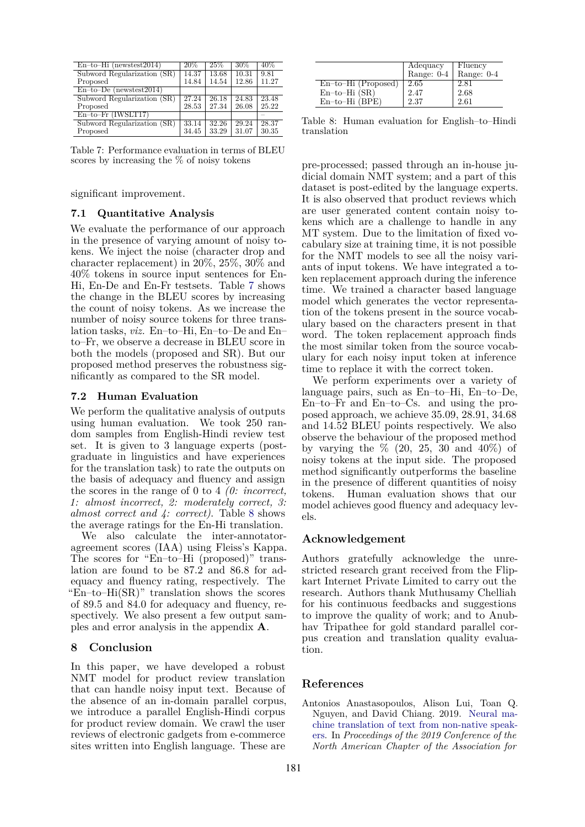<span id="page-7-2"></span>

| $En-to-Hi$ (newstest2014)   | 20%   | 25%            | 30%   | 40%   |
|-----------------------------|-------|----------------|-------|-------|
| Subword Regularization (SR) | 14.37 | 13.68          | 10.31 | 9.81  |
| Proposed                    | 14.84 | 14.54          | 12.86 | 11.27 |
| $En-to-De$ (newstest2014)   |       |                |       |       |
| Subword Regularization (SR) | 27.24 | $\sqrt{26.18}$ | 24.83 | 23.48 |
| Proposed                    | 28.53 | 27.34          | 26.08 | 25.22 |
| $En-to-Fr$ (IWSLT17)        |       |                |       |       |
| Subword Regularization (SR) | 33.14 | 32.26          | 29.24 | 28.37 |
| Proposed                    | 34.45 | 33.29          | 31.07 | 30.35 |

Table 7: Performance evaluation in terms of BLEU scores by increasing the % of noisy tokens

significant improvement.

# **7.1 Quantitative Analysis**

We evaluate the performance of our approach in the presence of varying amount of noisy tokens. We inject the noise (character drop and character replacement) in 20%, 25%, 30% and 40% tokens in source input sentences for En-Hi, En-De and En-Fr testsets. Table [7](#page-7-2) shows the change in the BLEU scores by increasing the count of noisy tokens. As we increase the number of noisy source tokens for three translation tasks, *viz.* En–to–Hi, En–to–De and En– to–Fr, we observe a decrease in BLEU score in both the models (proposed and SR). But our proposed method preserves the robustness significantly as compared to the SR model.

### **7.2 Human Evaluation**

We perform the qualitative analysis of outputs using human evaluation. We took 250 random samples from English-Hindi review test set. It is given to 3 language experts (postgraduate in linguistics and have experiences for the translation task) to rate the outputs on the basis of adequacy and fluency and assign the scores in the range of 0 to 4 *(0: incorrect, 1: almost incorrect, 2: moderately correct, 3: almost correct and 4: correct)*. Table [8](#page-7-3) shows the average ratings for the En-Hi translation.

We also calculate the inter-annotatoragreement scores (IAA) using Fleiss's Kappa. The scores for "En–to–Hi (proposed)" translation are found to be 87.2 and 86.8 for adequacy and fluency rating, respectively. The "En–to– $Hi(SR)$ " translation shows the scores of 89.5 and 84.0 for adequacy and fluency, respectively. We also present a few output samples and error analysis in the appendix **A**.

# <span id="page-7-0"></span>**8 Conclusion**

In this paper, we have developed a robust NMT model for product review translation that can handle noisy input text. Because of the absence of an in-domain parallel corpus, we introduce a parallel English-Hindi corpus for product review domain. We crawl the user reviews of electronic gadgets from e-commerce sites written into English language. These are

<span id="page-7-3"></span>

|                       | Adequacy   | Fluency    |
|-----------------------|------------|------------|
|                       | Range: 0-4 | Range: 0-4 |
| $En-to-Hi$ (Proposed) | 2.65       | 2.81       |
| $En-to-Hi(SR)$        | 2.47       | 2.68       |
| $En-to-Hi$ (BPE)      | 2.37       | 2.61       |

Table 8: Human evaluation for English–to–Hindi translation

pre-processed; passed through an in-house judicial domain NMT system; and a part of this dataset is post-edited by the language experts. It is also observed that product reviews which are user generated content contain noisy tokens which are a challenge to handle in any MT system. Due to the limitation of fixed vocabulary size at training time, it is not possible for the NMT models to see all the noisy variants of input tokens. We have integrated a token replacement approach during the inference time. We trained a character based language model which generates the vector representation of the tokens present in the source vocabulary based on the characters present in that word. The token replacement approach finds the most similar token from the source vocabulary for each noisy input token at inference time to replace it with the correct token.

We perform experiments over a variety of language pairs, such as En–to–Hi, En–to–De, En–to–Fr and En–to–Cs. and using the proposed approach, we achieve 35.09, 28.91, 34.68 and 14.52 BLEU points respectively. We also observe the behaviour of the proposed method by varying the  $\%$  (20, 25, 30 and 40\%) of noisy tokens at the input side. The proposed method significantly outperforms the baseline in the presence of different quantities of noisy tokens. Human evaluation shows that our model achieves good fluency and adequacy levels.

### **Acknowledgement**

Authors gratefully acknowledge the unrestricted research grant received from the Flipkart Internet Private Limited to carry out the research. Authors thank Muthusamy Chelliah for his continuous feedbacks and suggestions to improve the quality of work; and to Anubhav Tripathee for gold standard parallel corpus creation and translation quality evaluation.

# **References**

<span id="page-7-1"></span>Antonios Anastasopoulos, Alison Lui, Toan Q. Nguyen, and David Chiang. 2019. [Neural ma](https://doi.org/10.18653/v1/N19-1311)[chine translation of text from non-native speak](https://doi.org/10.18653/v1/N19-1311)[ers](https://doi.org/10.18653/v1/N19-1311). In *Proceedings of the 2019 Conference of the North American Chapter of the Association for*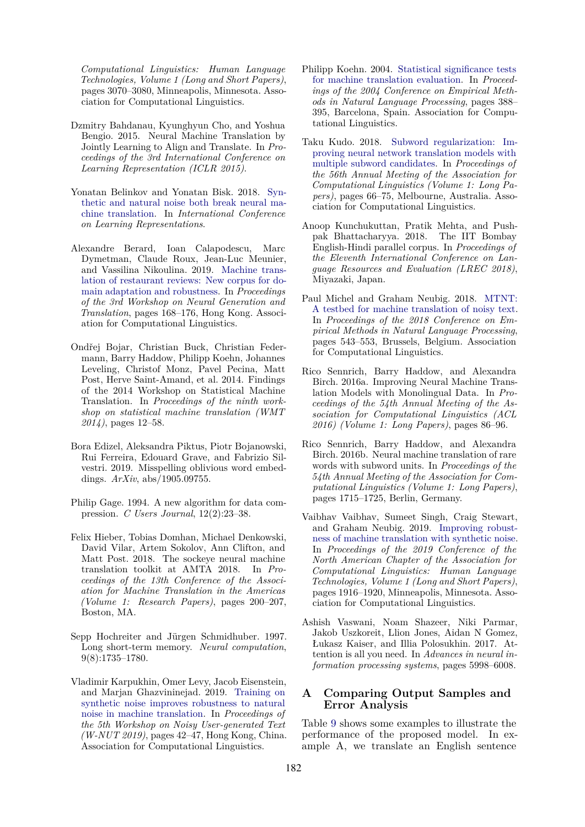*Computational Linguistics: Human Language Technologies, Volume 1 (Long and Short Papers)*, pages 3070–3080, Minneapolis, Minnesota. Association for Computational Linguistics.

- <span id="page-8-1"></span>Dzmitry Bahdanau, Kyunghyun Cho, and Yoshua Bengio. 2015. Neural Machine Translation by Jointly Learning to Align and Translate. In *Proceedings of the 3rd International Conference on Learning Representation (ICLR 2015)*.
- <span id="page-8-4"></span>Yonatan Belinkov and Yonatan Bisk. 2018. [Syn](https://openreview.net/forum?id=BJ8vJebC-)[thetic and natural noise both break neural ma](https://openreview.net/forum?id=BJ8vJebC-)[chine translation.](https://openreview.net/forum?id=BJ8vJebC-) In *International Conference on Learning Representations*.
- <span id="page-8-9"></span>Alexandre Berard, Ioan Calapodescu, Marc Dymetman, Claude Roux, Jean-Luc Meunier, and Vassilina Nikoulina. 2019. [Machine trans](https://doi.org/10.18653/v1/D19-5617)[lation of restaurant reviews: New corpus for do](https://doi.org/10.18653/v1/D19-5617)[main adaptation and robustness.](https://doi.org/10.18653/v1/D19-5617) In *Proceedings of the 3rd Workshop on Neural Generation and Translation*, pages 168–176, Hong Kong. Association for Computational Linguistics.
- <span id="page-8-12"></span>Ondřej Bojar, Christian Buck, Christian Federmann, Barry Haddow, Philipp Koehn, Johannes Leveling, Christof Monz, Pavel Pecina, Matt Post, Herve Saint-Amand, et al. 2014. Findings of the 2014 Workshop on Statistical Machine Translation. In *Proceedings of the ninth workshop on statistical machine translation (WMT 2014)*, pages 12–58.
- <span id="page-8-10"></span>Bora Edizel, Aleksandra Piktus, Piotr Bojanowski, Rui Ferreira, Edouard Grave, and Fabrizio Silvestri. 2019. Misspelling oblivious word embeddings. *ArXiv*, abs/1905.09755.
- <span id="page-8-15"></span>Philip Gage. 1994. A new algorithm for data compression. *C Users Journal*, 12(2):23–38.
- <span id="page-8-11"></span>Felix Hieber, Tobias Domhan, Michael Denkowski, David Vilar, Artem Sokolov, Ann Clifton, and Matt Post. 2018. The sockeye neural machine translation toolkit at AMTA 2018. In *Proceedings of the 13th Conference of the Association for Machine Translation in the Americas (Volume 1: Research Papers)*, pages 200–207, Boston, MA.
- <span id="page-8-14"></span>Sepp Hochreiter and Jürgen Schmidhuber. 1997. Long short-term memory. *Neural computation*, 9(8):1735–1780.
- <span id="page-8-5"></span>Vladimir Karpukhin, Omer Levy, Jacob Eisenstein, and Marjan Ghazvininejad. 2019. [Training on](https://doi.org/10.18653/v1/D19-5506) [synthetic noise improves robustness to natural](https://doi.org/10.18653/v1/D19-5506) [noise in machine translation.](https://doi.org/10.18653/v1/D19-5506) In *Proceedings of the 5th Workshop on Noisy User-generated Text (W-NUT 2019)*, pages 42–47, Hong Kong, China. Association for Computational Linguistics.
- <span id="page-8-16"></span>Philipp Koehn. 2004. [Statistical significance tests](https://www.aclweb.org/anthology/W04-3250) [for machine translation evaluation](https://www.aclweb.org/anthology/W04-3250). In *Proceedings of the 2004 Conference on Empirical Methods in Natural Language Processing*, pages 388– 395, Barcelona, Spain. Association for Computational Linguistics.
- <span id="page-8-8"></span>Taku Kudo. 2018. [Subword regularization: Im](https://doi.org/10.18653/v1/P18-1007)[proving neural network translation models with](https://doi.org/10.18653/v1/P18-1007) [multiple subword candidates.](https://doi.org/10.18653/v1/P18-1007) In *Proceedings of the 56th Annual Meeting of the Association for Computational Linguistics (Volume 1: Long Papers)*, pages 66–75, Melbourne, Australia. Association for Computational Linguistics.
- <span id="page-8-13"></span>Anoop Kunchukuttan, Pratik Mehta, and Pushpak Bhattacharyya. 2018. The IIT Bombay English-Hindi parallel corpus. In *Proceedings of the Eleventh International Conference on Language Resources and Evaluation (LREC 2018)*, Miyazaki, Japan.
- <span id="page-8-3"></span>Paul Michel and Graham Neubig. 2018. [MTNT:](https://doi.org/10.18653/v1/D18-1050) [A testbed for machine translation of noisy text.](https://doi.org/10.18653/v1/D18-1050) In *Proceedings of the 2018 Conference on Empirical Methods in Natural Language Processing*, pages 543–553, Brussels, Belgium. Association for Computational Linguistics.
- <span id="page-8-0"></span>Rico Sennrich, Barry Haddow, and Alexandra Birch. 2016a. Improving Neural Machine Translation Models with Monolingual Data. In *Proceedings of the 54th Annual Meeting of the Association for Computational Linguistics (ACL 2016) (Volume 1: Long Papers)*, pages 86–96.
- <span id="page-8-7"></span>Rico Sennrich, Barry Haddow, and Alexandra Birch. 2016b. Neural machine translation of rare words with subword units. In *Proceedings of the 54th Annual Meeting of the Association for Computational Linguistics (Volume 1: Long Papers)*, pages 1715–1725, Berlin, Germany.
- <span id="page-8-6"></span>Vaibhav Vaibhav, Sumeet Singh, Craig Stewart, and Graham Neubig. 2019. [Improving robust](https://doi.org/10.18653/v1/N19-1190)[ness of machine translation with synthetic noise.](https://doi.org/10.18653/v1/N19-1190) In *Proceedings of the 2019 Conference of the North American Chapter of the Association for Computational Linguistics: Human Language Technologies, Volume 1 (Long and Short Papers)*, pages 1916–1920, Minneapolis, Minnesota. Association for Computational Linguistics.
- <span id="page-8-2"></span>Ashish Vaswani, Noam Shazeer, Niki Parmar, Jakob Uszkoreit, Llion Jones, Aidan N Gomez, Łukasz Kaiser, and Illia Polosukhin. 2017. Attention is all you need. In *Advances in neural information processing systems*, pages 5998–6008.

# **A Comparing Output Samples and Error Analysis**

Table [9](#page-9-0) shows some examples to illustrate the performance of the proposed model. In example A, we translate an English sentence